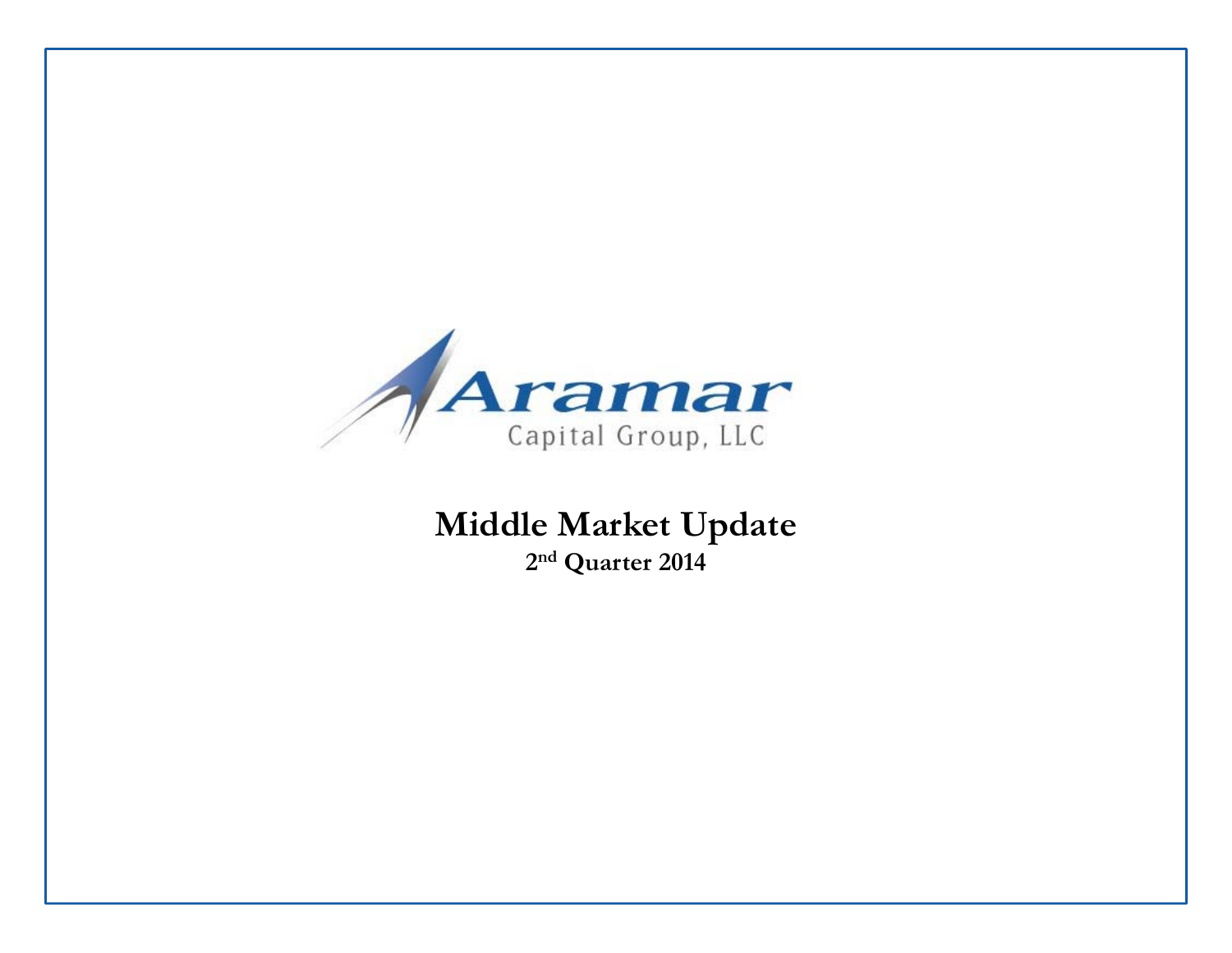

# **Middle Market Update 2n<sup>d</sup> Quarter 2014**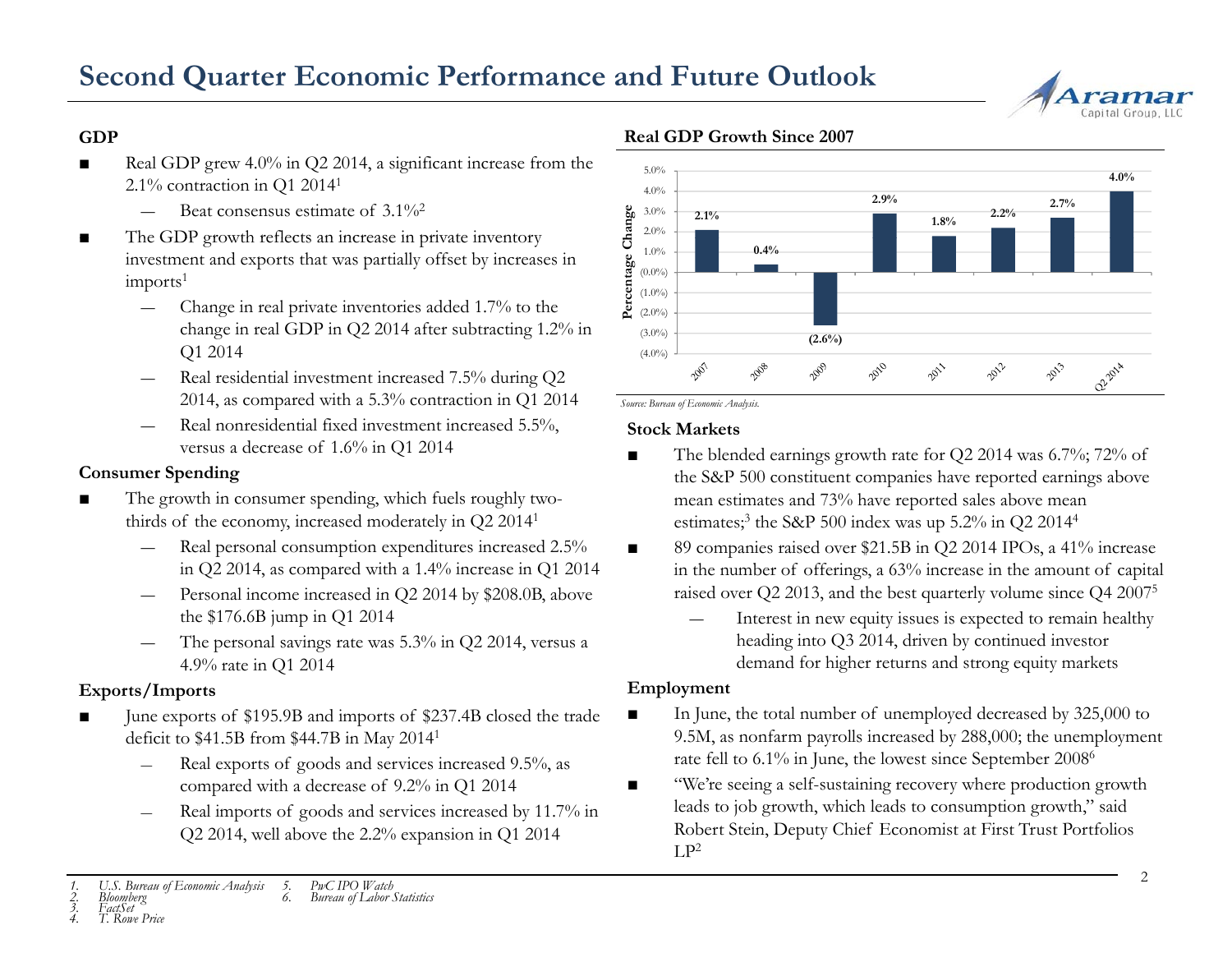

## **GDP**

- ■ Real GDP grew 4.0% in Q2 2014, a significant increase from the 2.1% contraction in Q1 20141
	- Beat consensus estimate of 3.1%<sup>2</sup>
- ■■ The GDP growth reflects an increase in private inventory investment and exports that was partially offset by increases in  $imports<sup>1</sup>$ 
	- Change in real private inventories added 1.7% to the change in real GDP in Q2 2014 after subtracting 1.2% in Q1 2014
	- Real residential investment increased 7.5% during Q2 2014, as compared with a 5.3% contraction in Q1 2014
	- ― Real nonresidential fixed investment increased 5.5%, versus a decrease of 1.6% in Q1 2014

## **Consumer Spending**

- The growth in consumer spending, which fuels roughly twothirds of the economy, increased moderately in Q2 20141
	- Real personal consumption expenditures increased 2.5% in Q2 2014, as compared with a 1.4% increase in Q1 2014
	- Personal income increased in Q2 2014 by \$208 0B above Personal income increased in Q2 2014 by \$208.0B, above raised over Q2 2013, and the best quarterly volume since Q4 2007<sup>5</sup><br>
	Interest in new equity issues is expected to remain healthy
	- ― The personal savings rate was 5.3% in Q2 2014, versus a 4.9% rate in Q1 2014

# **Exports/Imports**

- June exports of \$195.9B and imports of \$237.4B closed the trade In June, the total number of unemployed decreased by 325,000 to deficit to \$41.5B from \$44.7B in May 20141
	- Real exports of goods and services increased 9.5%, as compared with a decrease of 9.2% in Q1 2014
	- Real imports of goods and services increased by 11.7% in  $Q2$  2014, well above the 2.2% expansion in  $Q1$  2014

# **Real GDP Growth Since 2007**



*Source: Bureau of Economic Analysis.*

### **Stock Markets**

- ■ The blended earnings growth rate for Q2 2014 was 6.7%; 72% of the S&P 500 constituent companies have reported earnings above mean estimates and 73% have reported sales above mean estimates;<sup>3</sup> the S&P 500 index was up  $5.2\%$  in Q2 2014<sup>4</sup>
- ■ 89 companies raised over \$21.5B in Q2 2014 IPOs, a 41% increase in the number of offerings, a 63% increase in the amount of capital
	- Interest in new equity issues is expected to remain healthy heading into Q3 2014, driven by continued investor demand for higher returns and strong equity markets

# **Employment**

- In June, the total number of unemployed decreased by 325,000 to 9.5M, as nonfarm payrolls increased by 288,000; the unemployment rate fell to 6.1% in June, the lowest since September 20086
- ■ "We're seeing a self-sustaining recovery where production growth leads to job growth, which leads to consumption growth," said % expansion in Q1 2014  $\text{Robert Stein, Deputy Chief Economist at First Trust Portfolios}$

*<sup>1.</sup> U.S. Bureau of Economic Analysis 2. Bloomberg 3. FactSet5. PwC IPO Watch 6. Bureau of Labor Statistics*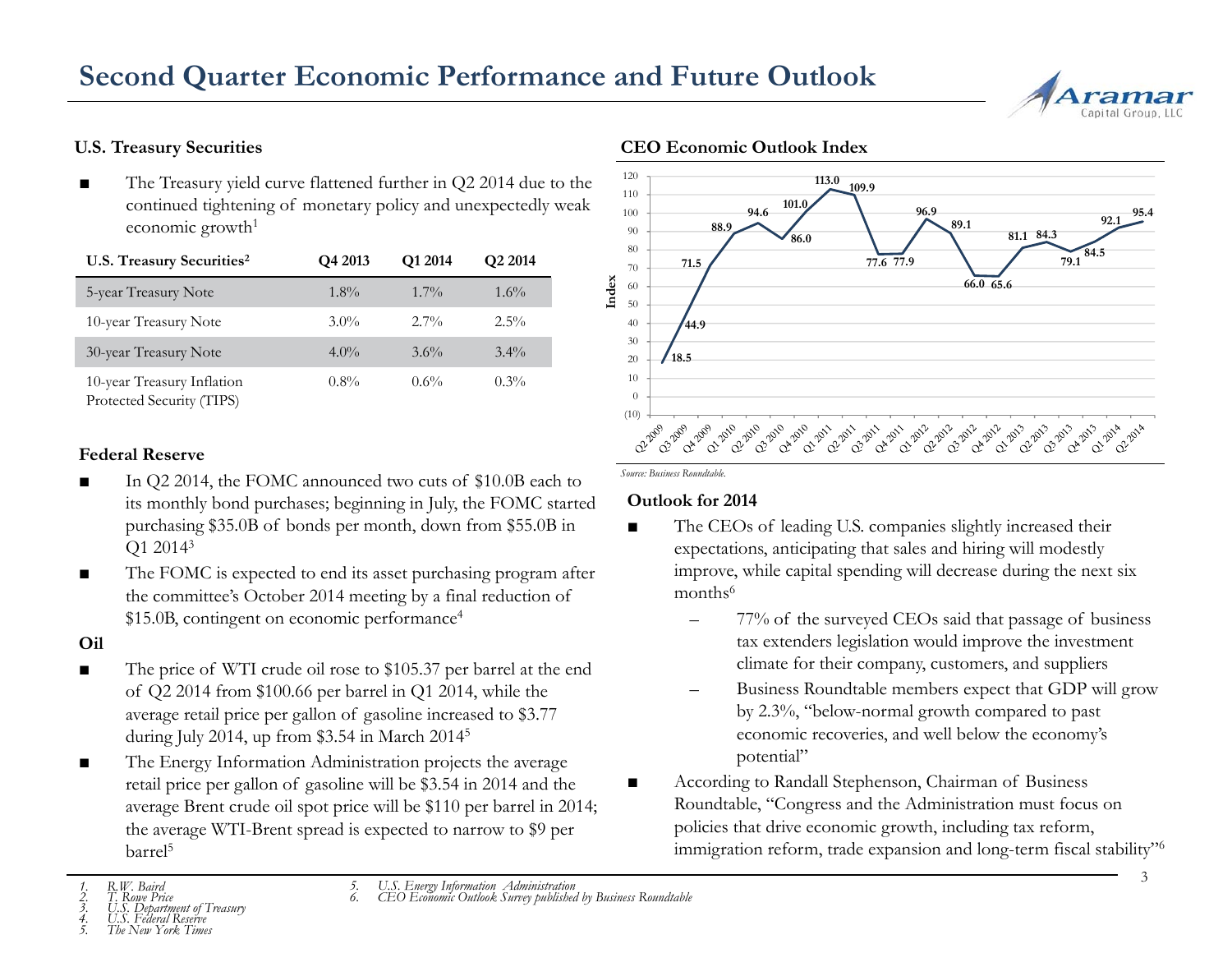# **Second Quarter Economic Performance and Future Outlook**



■ The Treasury yield curve flattened further in Q2 2014 due to the continued tightening of monetary policy and unexpectedly weak economic growth $1$ 

| U.S. Treasury Securities <sup>2</sup>                   | Q4 2013 | Q1 2014 | Q <sub>2</sub> 2014 |
|---------------------------------------------------------|---------|---------|---------------------|
| 5-year Treasury Note                                    | $1.8\%$ | $1.7\%$ | $1.6\%$             |
| 10-year Treasury Note                                   | $3.0\%$ | $2.7\%$ | $2.5\%$             |
| 30-year Treasury Note                                   | $4.0\%$ | $3.6\%$ | $3.4\%$             |
| 10-year Treasury Inflation<br>Protected Security (TIPS) | $0.8\%$ | $0.6\%$ | $0.3\%$             |

### **Federal Reserve**

- $\blacksquare$  In Q2 2014, the FOMC announced two cuts of \$10.0B each to ■its monthly bond purchases; beginning in July, the FOMC started purchasing \$35.0B of bonds per month, down from \$55.0B in Q1 20143 COLOREL EVALUATE: COME and anounced two cuts of \$10.0B each to<br>committely bond purchases; beginning in July, the FOMC started **Outlocar**<br>committee s 35.0B of bonds per month, down from \$55.0B in<br>a meer of 10.014<sup>3</sup> commit
- ■ The FOMC is expected to end its asset purchasing program after the committee's October 2014 meeting by <sup>a</sup> final reduction of \$15.0B, contingent on economic performance4

#### **Oil**

- ■ The price of WTI crude oil rose to \$105.37 per barrel at the end of Q2 2014 from \$100.66 per barrel in Q1 2014, while the average retail price per gallon of gasoline increased to \$3.77  $\,$  by 2.3%  $\,$ during July 2014, up from \$3.54 in March  $2014<sup>5</sup>$
- ■ The Energy Information Administration projects the average retail price per gallon of gasoline will be \$3.54 in 2014 and the average Brent crude oil spot price will be \$110 per barrel in 2014; the average WTI-Brent spread is expected to narrow to \$9 per barrel<sup>5</sup>

### **U.S. Treasury Securities CEO Economic Outlook Index**



■

### **Outlook for 2014**

- ■ The CEOs of leading U.S. companies slightly increased their expectations, anticipating that sales and hiring will modestly improve, while capital spending will decrease during the next six months $\rm^6$ 
	- – 77% of the surveyed CEOs said that passage of business tax extenders legislation would improve the investment climate for their company, customers, and suppliers
	- Business Roundtable members expect that GDP will grow y 2.3%, "below-normal growth compared to past economic recoveries, and well below the economy's potential"
	- According to Randall Stephenson, Chairman of Business Roundtable, "Congress and the Administration must focus on policies that drive economic growth, includin g tax reform, immigration reform, trade expansion and long-term fiscal stability"<sup>6</sup>

*5. U.S. Energy Information Administration 6. CEO Economic Outlook Survey published by Business Roundtable*

*<sup>1.</sup> R.W. Baird*

*3. U.S. Department of Treasury 4. U.S. Federal Reserve*

*5. The New York Times*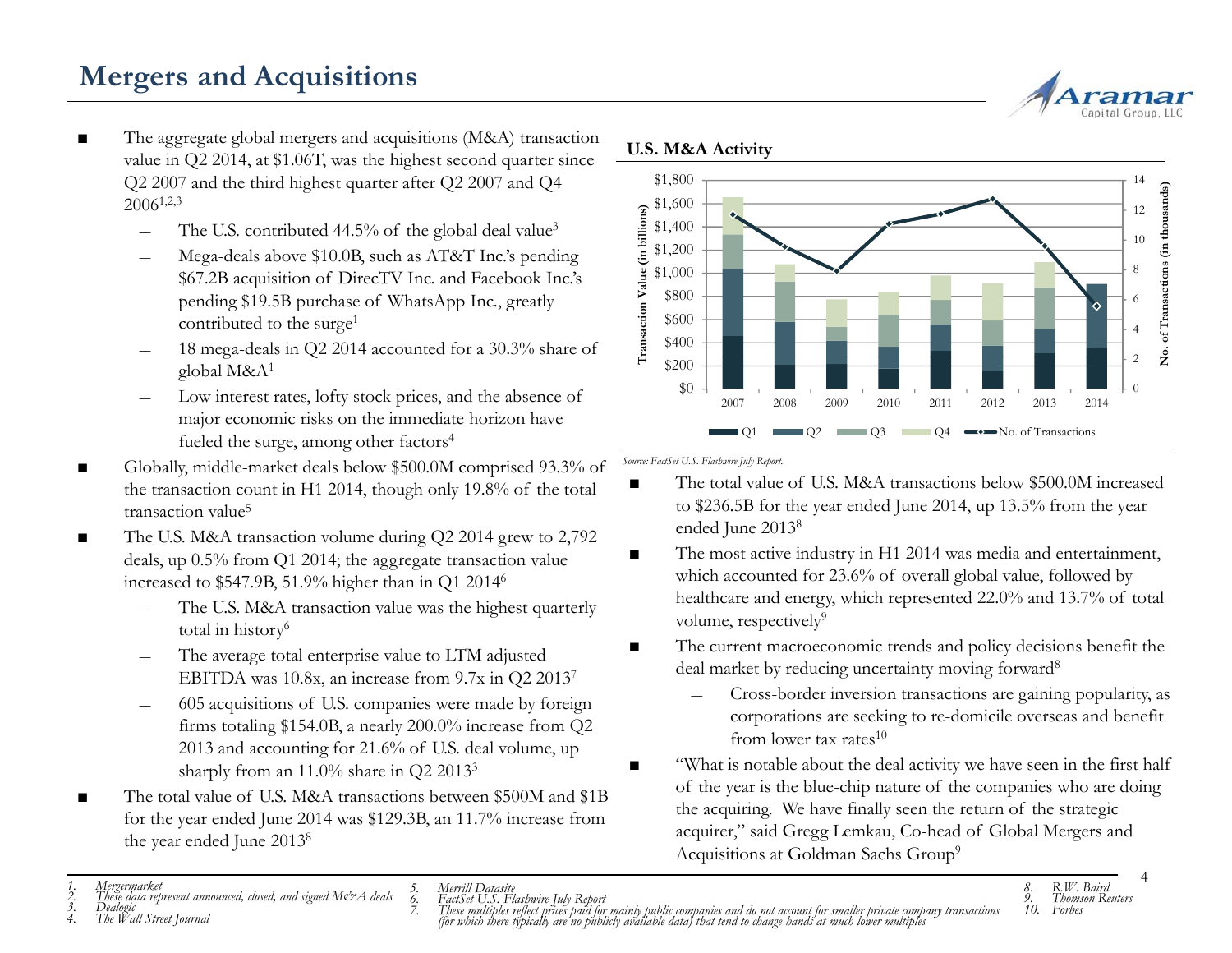# **Mergers and Acquisitions**

- ■ The aggregate global mergers and acquisitions (M&A) transaction value in Q2 2014, at \$1.06T, was the highest second quarter since Q2 2007 and the third highest quarter after Q2 2007 and Q4  $2006^{1,2,3}$ 
	- ―The U.S. contributed 44.5% of the global deal
	- Mega-deals above \$10.0B, such as AT&T Inc.'s pending \$67.2B acquisition of DirecTV Inc. and Facebook Inc.'s pending \$19.5B purchase of WhatsApp Inc., greatly contributed to the surge<sup>1</sup>
	- global M&A1
	- ― Low interest rates, lofty stock prices, and the absence of major economic risks on the immediate horizon have fueled the surge, among other factors<sup>4</sup>
- ■■ Globally, middle-market deals below \$500.0M comprised 93.3% of *Source: FactSet U.S. Flashwire July Report.* the transaction count in H1 2014, though only 19.8% of the total transaction value<sup>5</sup>
- ■ The U.S. M&A transaction volume during Q2 2014 grew to 2,792 deals, up 0.5% from Q1 2014; the aggregate transaction value increased to \$547.9B, 51.9% higher than in Q1 20146
	- The U.S. M&A transaction value was the highest quarterly total in history6
	- The average total enterprise value to LTM adjusted EBITDA was 10.8x, an increase from 9.7x in Q2 20137
	- ― 605 acquisitions of U.S. companies were made by foreign firms totaling \$154.0B, a nearly 200.0% increase from  $Q2$ 2013 and accounting for 21.6% of U.S. deal volume, up sharply from an 11.0% share in Q2 20133
- ■ The total value of U.S. M&A transactions between \$500M and \$1B for the year ended June 2014 was \$129.3B, an 11.7% increase from the year ended June 2013<sup>8</sup>





#### **U.S. M&A Activity**

- ■The total value of U.S. M&A transactions below \$500.0M increased to \$236.5B for the year ended June 2014, up 13.5% from the year ended June 20138
- ■ The most active industry in H1 2014 was media and entertainment, which accounted for 23.6% of overall global value, followed by healthcare and energy, which represented 22.0% and 13.7% of total<br>volume, respectively<sup>9</sup>
- ■ The current macroeconomic trends and policy decisions benefit the deal market by reducing uncertainty moving forward<sup>8</sup>
	- Cross-border inversion transactions are gaining popularity, as corp orations are seeking to re-domicile overseas an benefit from lower tax rates $10$
- ■ "What is notable about the deal activity we have seen in the first half of the year is the blue-chip nature of the companies who are doing the acquiring. We have finally seen the return of the strategic acquirer," said Gregg Lemkau, Co-head of Global Mergers and<br>he year ended June 2013<sup>8</sup> Acquisitions at Goldman Sachs Group<sup>9</sup>

4

<sup>1.</sup> Mergermarket 8. R.W. Baird<br>2. These data represent announced, closed, and signed M&A deals 6. FactSet U.S. Flashwire July Report<br>3. Dealogic and street Journal 9. Thomson Reuters<br>4. The Wall Street Journal 10. Forbes (f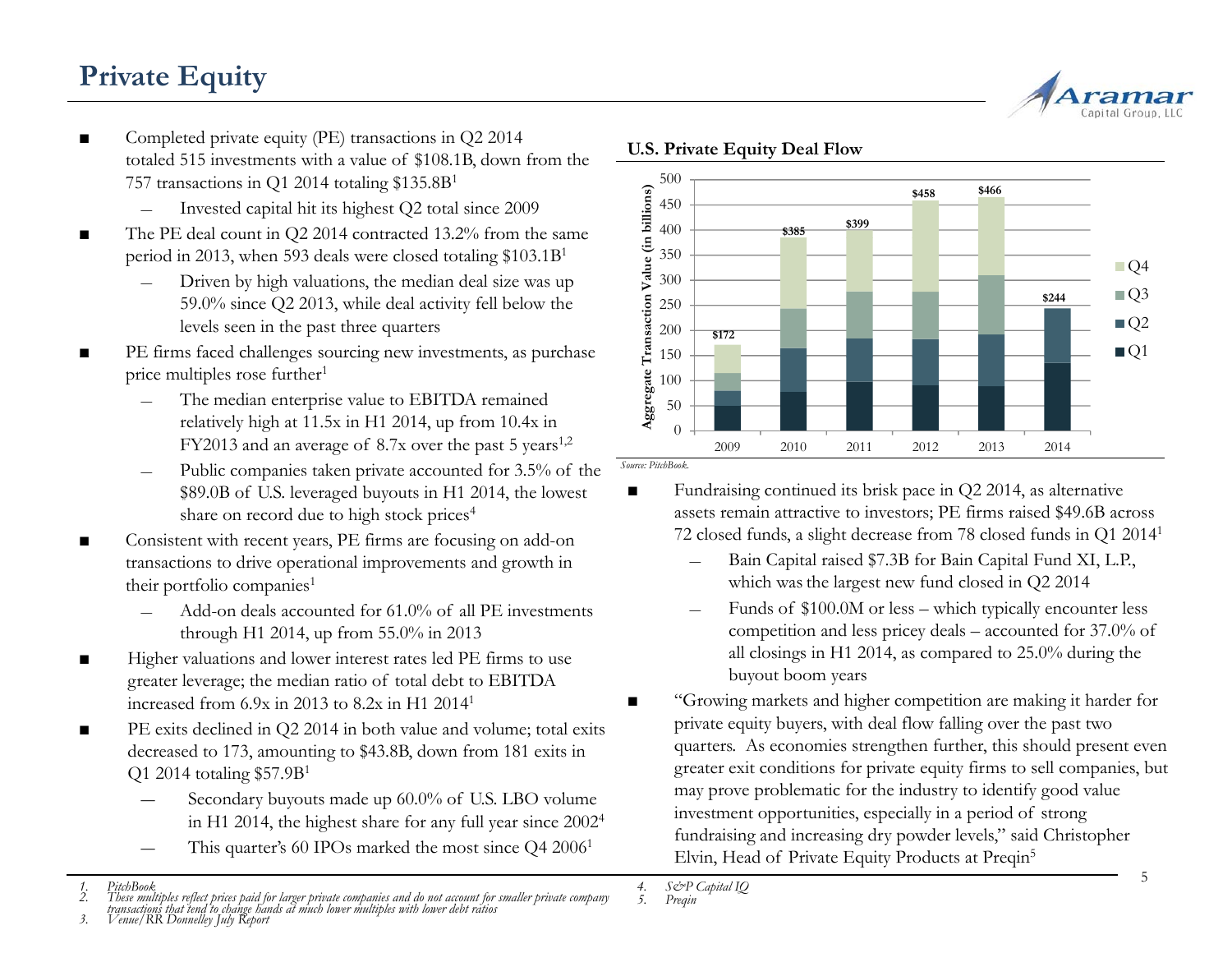# **Private Equity**



- ■ Completed private equity (PE) transactions in Q2 2014 totaled 515 investments with a value of \$108.1B, down from the 757 transactions in Q1 2014 totaling \$135.8B1
	- Invested capital hit its highest Q2 total since 2009
- ■ $\blacksquare$  The PE deal count in Q2 2014 contracted 13.2% from the same period in 2013, when 593 deals were closed totaling \$103.1B1
	- Driven by high valuations, the median deal size was up 59.0% since Q2 2013, while deal activity fell below the levels seen in the past three quarters
- **PE** firms faced challenges sourcing new investments, as purchase  $\frac{3}{2}$  150 price multiples rose further<sup>1</sup>
	- ― The median enterprise value to EBITDA remained relatively high at 11.5x in H1 2014, up from 10.4x in  $FY2013$  and an average of 8.7x over the past 5 years<sup>1,2</sup>
	- ―- Public companies taken private accounted for 3.5% of the *Source: PitchBook.* \$89.0B of U.S. leveraged buyouts in H1 2014, the lowest share on record due to high stock prices<sup>4</sup>
- ■ Consistent with recent years, PE firms are focusing on add-on transactions to drive operational improvements and growth in their portfolio companies<sup>1</sup>
	- Add-on deals accounted for 61.0% of all PE investments through H1 2014, up from 55.0% in 2013
- ■ Higher valuations and lower interest rates led PE firms to use greater leverage; the median ratio of total debt to EBITDA increased from 6.9x in 2013 to 8.2x in H1 20141
- ■ PE exits declined in Q2 2014 in both value and volume; total exits decreased to 173, amounting to \$43.8B, down from 181 exits in Q1 2014 totaling \$57.9B1
	- Secondary buyouts made up 60.0% of U.S. LBO volume in H1 2014, the highest share for any full year since 20024
	- This quarter's 60 IPOs marked the most since Q4 2006<sup>1</sup>



### **U.S. Private Equity Deal Flow**

■

 Fundraising continued its brisk pace in Q2 2014, as alternative assets remain attractive to investors; PE firms raised \$49.6B across 72 closed funds, a slight decrease from 78 closed funds in Q1 20141

- Bain Capital raised \$7.3B for Bain Capital Fund XI, L.P., which was the largest new fund closed in Q2 2014
- Funds of \$100.0M or less which typically encounter less competition and less pricey deals – accounted for 37.0% of all closings in H1 2014, as compared to 25.0% during the buyout boom years
- "Growing markets and higher competition are making it harder for private equity buyers, with deal flow falling over the past two quarters. As economies strengthen further, this should present even greater exit conditions for private equity firms to sell companies, but may prove problematic for the industry to identify good value investment opportunities, especially in a period of strong fundraising and increasing dry powder levels," said Christopher Elvin, Head of Private Equity Products at Preqin<sup>5</sup>

*<sup>4.</sup> S&P Capital IQ 5. Preqin*

*<sup>1.</sup> PitchBook*2. These multiples reflect prices paid for larger private companies and do not account for smaller private company<br>transactions that tend to change hands at much lower multiples with lower debt ratios<br>3. Venue/RR Do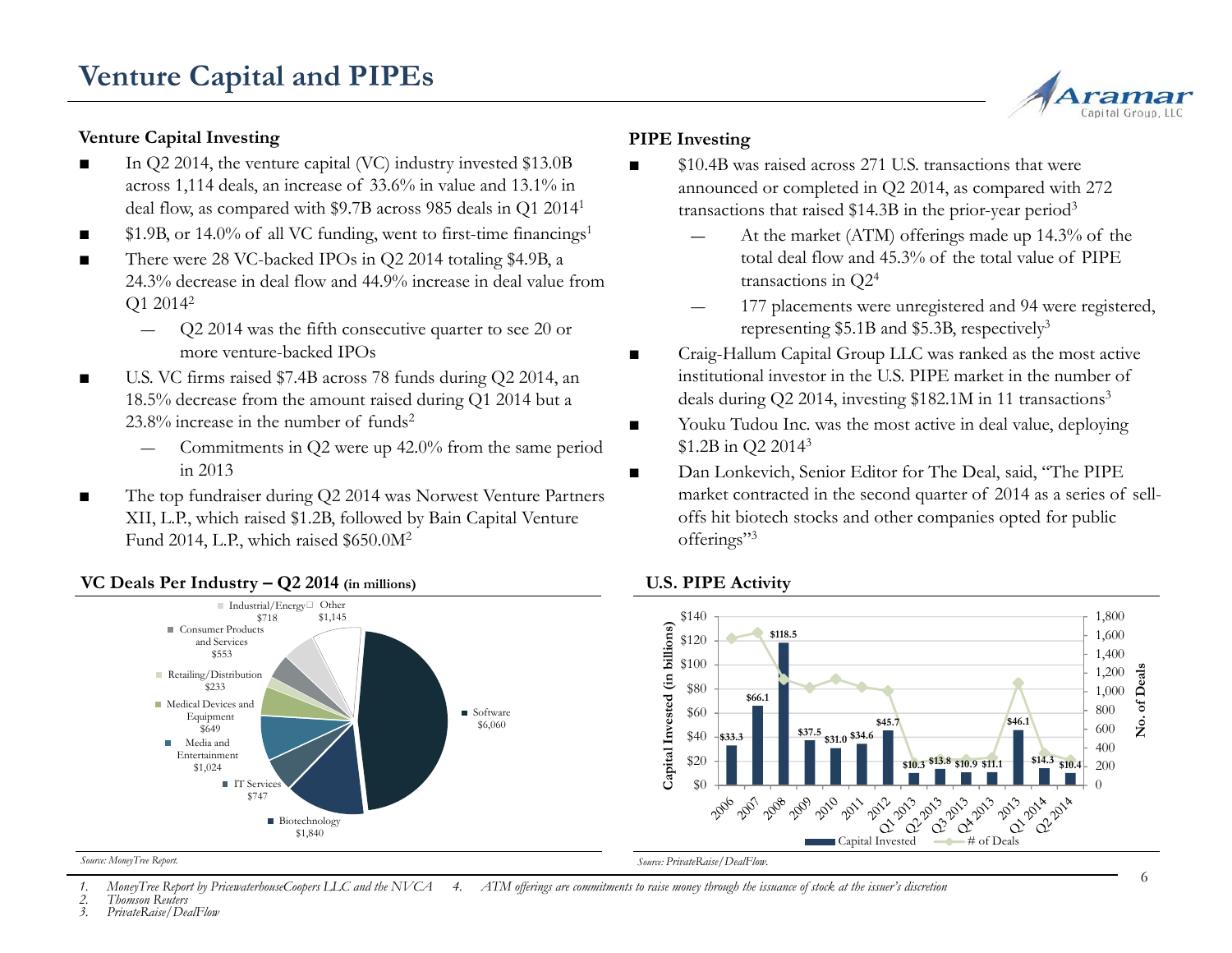# **Venture Capital Investing**

- ■ In Q2 2014, the venture capital (VC) industry invested \$13.0B across 1,114 deals, an increase of 33.6% in value and 13.1% in deal flow, as compared with \$9.7B across 985 deals in Q1 20141
- ■\$1.9B, or 14.0% of all VC funding, went to first-time financings<sup>1</sup>
- ■ There were 28 VC-backed IPOs in Q2 2014 totaling \$4.9B, a 24.3% decrease in deal flow and 44.9% increase in deal value from Q1 20142
	- ― Q2 2014 was the fifth consecutive quarter to see 20 or  $\blacksquare$ more venture-backed IPOs
- ■ U.S. VC firms raised \$7.4B across 78 funds during Q2 2014, an 18.5% decrease from the amount raised during Q1 2014 but a 23.8% increase in the number of funds2
	- Commitments in Q2 were up 42.0% from the same period in 2013
- ■ The top fundraiser during Q2 2014 was Norwest Venture Partners XII, L.P., which raised \$1.2B, followed by Bain Capital Venture Fund 2014, L.P., which raised \$650.0M2

#### ■ Software \$6,060 ■ Medical Devices and Equipment Retailing/Distribution \$233 Consumer Products and Services\$553 Industrial/Energy Other \$718 \$1,145 ■ Biotechnology \$1,840 IT Service \$747 Media and Entertainment\$1,024 **\$6,060 \$6,060 \$45.7 \$45.7 \$45.7 \$45.7 \$45.7 \$45.7 \$45.7 \$46.9 \$45.7 \$37.5 \$31.0 \$34.6 \$45.7**

# **VC Deals Per Industry – Q2 2014 (in millions)**

# **PIPE Investing**

■

- \$10.4B was raised across 271 U.S. transactions that were announced or completed in Q2 2014, as compared with 272 transactions that raised \$14.3B in the prior-year period3
- , or 14.0% of all VC funding, went to first-time financings<sup>1</sup>  $-$  At the market (ATM) offerings made up 14.3% of the total deal flow and 45.3% of the total value of PIPE transactions in Q24
	- 177 placements were unregistered and 94 were registered, representing \$5.1B and \$5.3B, respectively3
	- Craig-Hallum Capital Group LLC was ranked as the most active institutional investor in the U.S. PIPE market in the number of deals during Q2 2014, investing \$182.1M in 11 transactions<sup>3</sup>
	- ■ Youku Tudou Inc. was the most active in deal value, deploying \$1.2B in Q2 2014<sup>3</sup>
	- ■■ Dan Lonkevich, Senior Editor for The Deal, said, "The PIPE market contracted in the second quarter of 2014 as a series of selloffs hit biotech stocks and other companies opted for public offerings"<sup>3</sup>

### **U.S. PIPE Activity**



*Source: MoneyTree Report. Source: PrivateRaise/DealFlow.*

*1. MoneyTree Report by PricewaterhouseCoopers LLC and the NVCA 4. ATM offerings are commitments to raise money through the issuance of stock at the issuer's discretion*

*2. Thomson Reuters*

*3. PrivateRaise/DealFlow*

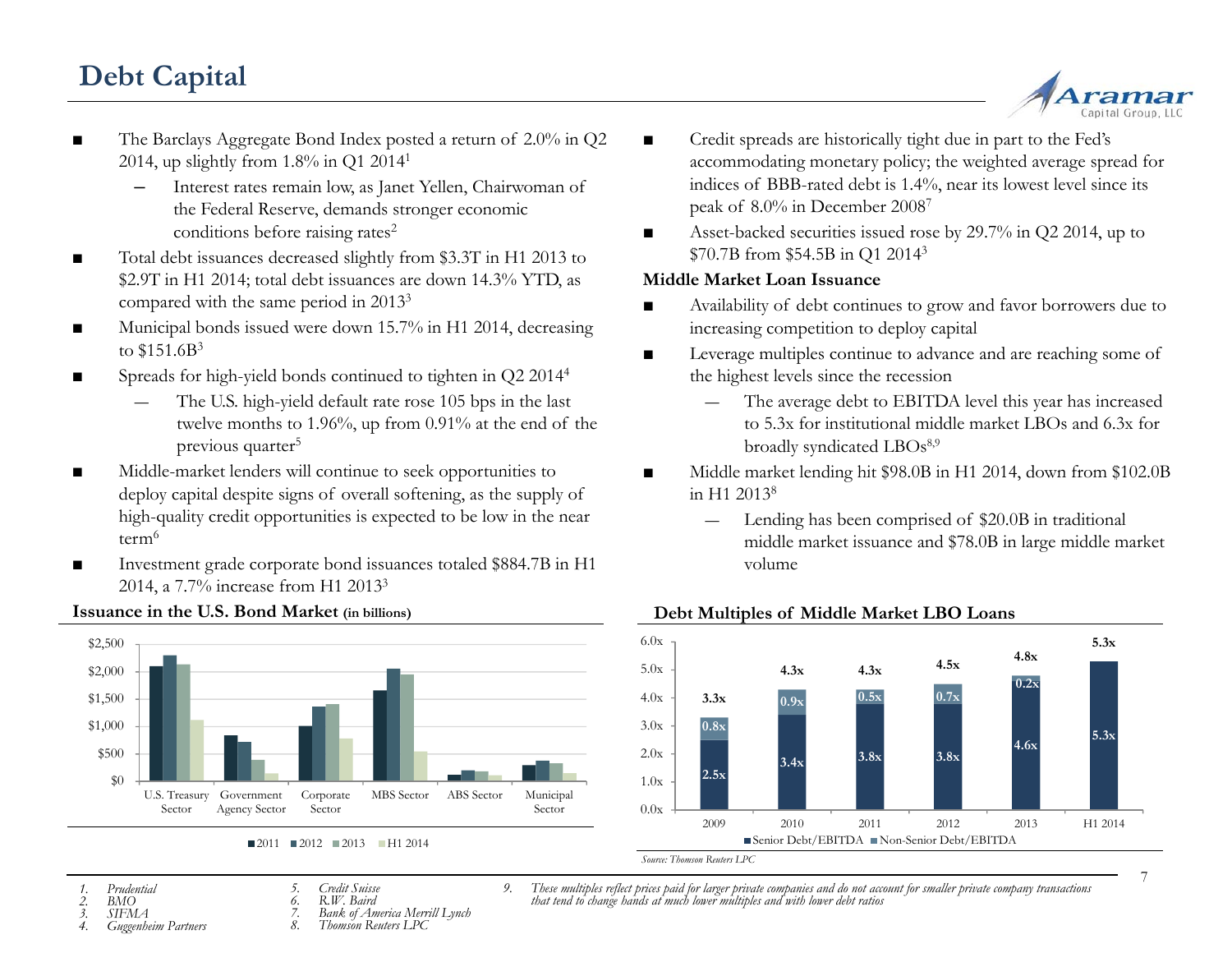# **Debt Capital**



- The Barclays Aggregate Bond Index posted a return of 2.0% in Q2 2014, up slightly from 1.8% in Q1 20141
	- Interest rates remain low, as Janet Yellen, Chairwoman of the Federal Reserve, demands stronger economic conditions before raising rates<sup>2</sup>
- Total debt issuances decreased slightly from \$3.3T in H1 2013 to \$2.9T in H1 2014; total debt issuances are down 14.3% YTD, as compared with the same period in 20133
- ■ Municipal bonds issued were down 15.7% in H1 2014, decreasing to  $$151.6B^3$
- ■ Spreads for high-yield bonds continued to tighten in Q2 20144
	- The U.S. high-yield default rate rose 105 bps in the last twelve months to 1.96%, up from 0.91% at the end of the previous quarter<sup>5</sup>
- ■■ Middle-market lenders will continue to seek opportunities to ■ deploy capital despite signs of overall softening, as the supply of high-quality credit opportunities is expected to be low in the near term<sup>6</sup>
- Investment grade corporate bond issuances totaled \$884.7B in H1 2014, a 7.7% increase from H1 2013<sup>3</sup>



#### **Issuance in the U.S. Bond Market (in billions)**

- ■ Credit spreads are historically tight due in part to the Fed's accommodating monetary policy; the weighted average spread for indices of BBB-rated debt is 1.4%, near its lowest level since its peak of 8.0% in December 20087
- g rates<sup>2</sup> and a securities issued rose by 29.7% in Q2 2014, up to securities issued rose by 29.7% in Q2 2014, up to \$70.7B from \$54.5B in Q1 20143

### **Middle Market Loan Issuance**

- ■ Availability of debt continues to grow and favor borrowers due to increasing competition to deploy capital
- **Leverage multiples continue to advance and are reaching some of** the highest levels since the recession
	- The average debt to EBITDA level this year has increased to 5.3x for institutional middle market LBOs and 6.3x for broadly syndicated LBOs<sup>8,9</sup>
- Middle market lending hit \$98.0B in H1 2014, down from \$102.0B in H1 2013<sup>8</sup>
	- Lending has been comprised of \$20.0B in traditional middle market issuance and \$78.0B in large middle market volume



#### **Debt Multiples of Middle Market LBO Loans**

- *1. Prudential2. BMO*
- *5. Credit Suisse6. R.W. Baird*
- 
- *7. Bank of America Merrill Lynch 8. Thomson Reuters LPC*
- 9. These multiples reflect prices paid for larger private companies and do not account for smaller private company transactions<br>that tend to change hands at much lower multiples and with lower debt ratios
- 7

#### *3. SIFMA*

- *4. Guggenheim Partners*
	-
- -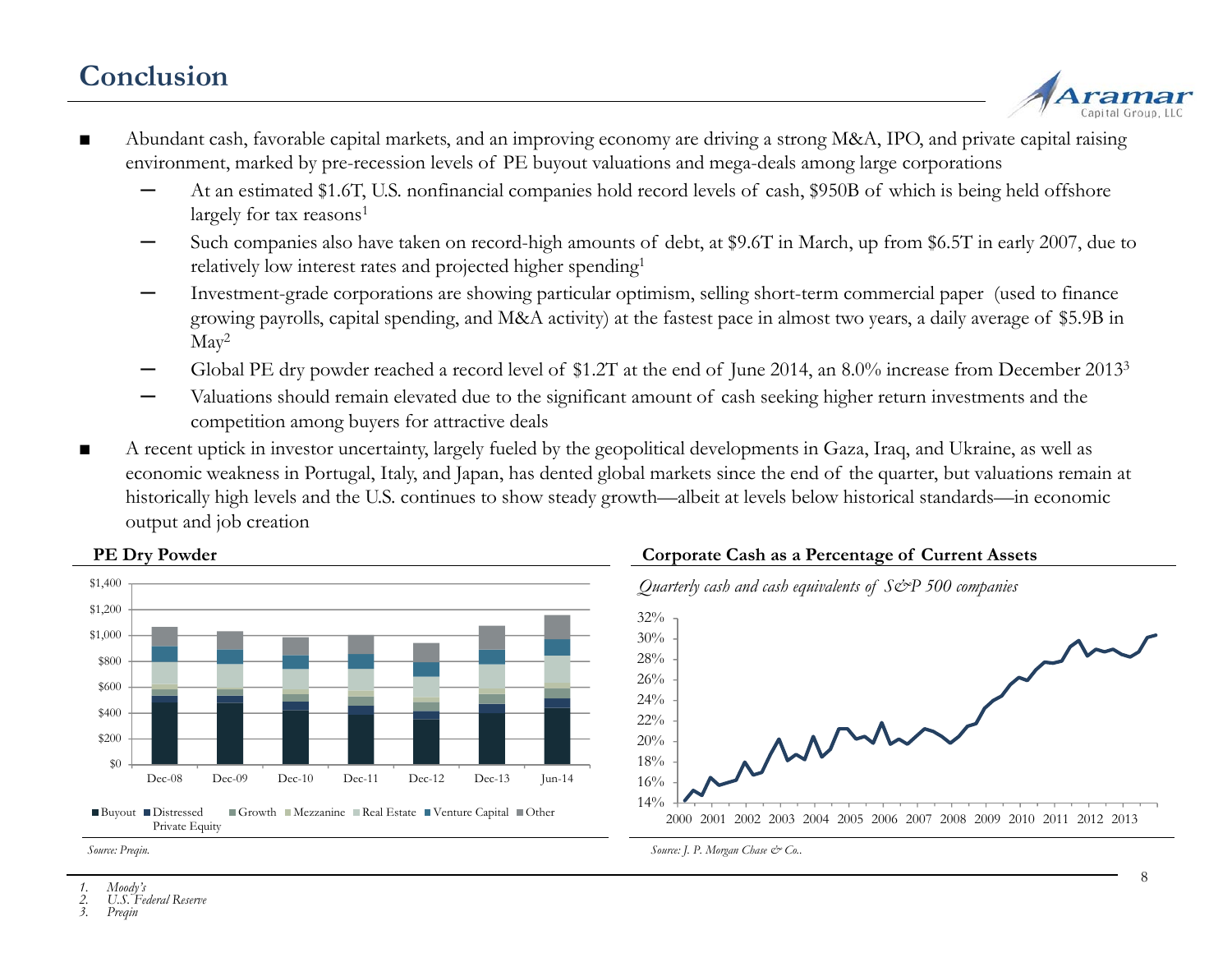# **Conclusion**



- ■ Abundant cash, favorable capital markets, and an improving economy are driving a strong M&A, IPO, and private capital raising environment, marked by pre-recession levels of PE buyout valuations and mega-deals among large corporations
	- At an estimated \$1.6T, U.S. nonfinancial companies hold record levels of cash, \$950B of which is being held offshore largely for tax reasons<sup>1</sup>
	- Such companies also have taken on record-high amounts of debt, at \$9.6T in March, up from \$6.5T in early 2007, due to relatively low interest rates and projected higher spending1
	- Investment-grade corporations are showing particular optimism, selling short-term commercial paper (used to finance growing payrolls, capital spending, and M&A activity) at the fastest pace in almost two years, a daily average of \$5.9B in May<sup>2</sup>
	- Global PE dry powder reached a record level of \$1.2T at the end of June 2014, an 8.0% increase from December 20133
	- Valuations should remain elevated due to the significant amount of cash seeking higher return investments and the competition among buyers for attractive deals
- ■ A recent uptick in investor uncertainty, largely fueled by the geopolitical developments in Gaza, Iraq, and Ukraine, as well as economic weakness in Portugal, Italy, and Japan, has dented global markets since the end of the quarter, but valuations remain at historically high levels and the U.S. continues to show steady growth—albeit at levels below historical standards—in economic output and job creation



### **PE Dry Powder**





*Source: J. P. Morgan Chase & Co..*

*Source: Preqin.*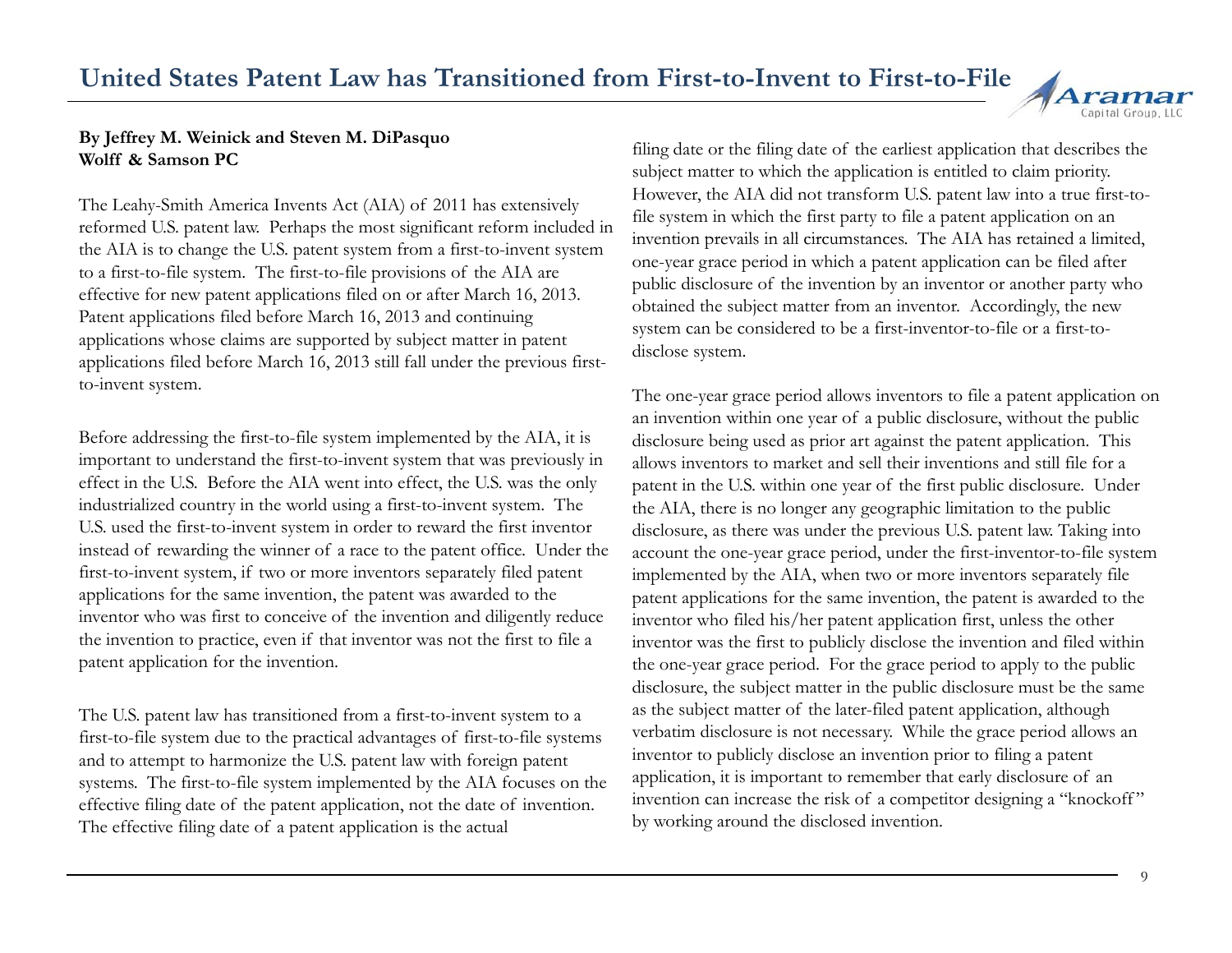

### **By Jeffrey M. Weinick and Steven M. DiPasquo Wolff & Samson PC**

The Leahy-Smith America Invents Act (AIA) of 2011 has extensively reformed U.S. patent law. Perhaps the most significant reform included in the AIA is to change the U.S. patent system from a first-to-invent system to a first-to-file system. The first-to-file provisions of the AIA are effective for new patent applications filed on or after March 16, 2013. Patent applications filed before March 16, 2013 and continuing applications whose claims are supported by subject matter in patent applications filed before March 16, 2013 still fall under the previous first-<br>disclose system. to-invent system.

Before addressing the first-to-file system implemented by the AIA, it is important to understand the first-to-invent system that was previously in effect in the U.S. Before the AIA went into effect, the U.S. was the only industrialized country in the world using a first-to-invent system. The U.S. used the first-to-invent system in order to reward the first inventor instead of rewarding the winner of a race to the patent office. Under the first-to-invent system, if two or more inventors separately filed patent applications for the same invention, the patent was awarded to the inventor who was first to conceive of the invention and diligently reduce the invention to practice, even if that inventor was not the first to file a patent application for the invention.

The U.S. patent law has transitioned from a first-to-invent system to a  $\qquad$  as the subject matter of the later-filed patent application, although first-to-file system due to the practical advantages of first-to-file systems and to attempt to harmonize the U.S. patent law with foreign patent systems. The first-to-file system implemented by the AIA focuses on the effective filing date of the patent application, not the date of invention. The effective filing date of a patent application is the actual

filing date or the filing date of the earliest application that describes the subject matter to which the application is entitled to claim priority. However, the AIA did not transform U.S. patent law into a true first-tofile system in which the first party to file a patent application on an invention prevails in all circumstances. The AIA has retained a limited, one-year grace period in which a patent application can be filed after public disclosure of the invention by an inventor or another party who obtained the subject matter from an inventor. Accordingly, the new system can be considered to be a first-inventor-to-file or a first-todisclose s y

The one-year grace period allows inventors to file a patent application on an invention within one year of a public disclosure, without the public disclosure being used as prior art against the patent application. This allows inventors to market and sell their inventions and still file for a patent in the U.S. within one year of the first public disclosure. Under the AIA, there is no longer any geographic limitation to the public disclosure, as there was under the previous U.S. patent law. Taking into account the one-year grace period, under the first-inventor-to-file system implemented by the AIA, when two or more inventors separately file s for the same invention, the patent was awarded to the patent applications for the same invention, the patent is awarded to the inventor who filed his/her patent application first, unless the other inventor was the first to publicly disclose the invention and filed within the one-year grace period. For the grace period to apply to the public disclosure, the subject matter in the public disclosure must be the same s the subject matter of the later-filed patent application, although verbatim disclosure is not necessary. While the grace period allows an inventor to publicly disclose an invention prior to filing a patent application, it is important to remember that early disclosure of an invention can increase the risk of a competitor designing a "knockoff " by working around the disclosed invention.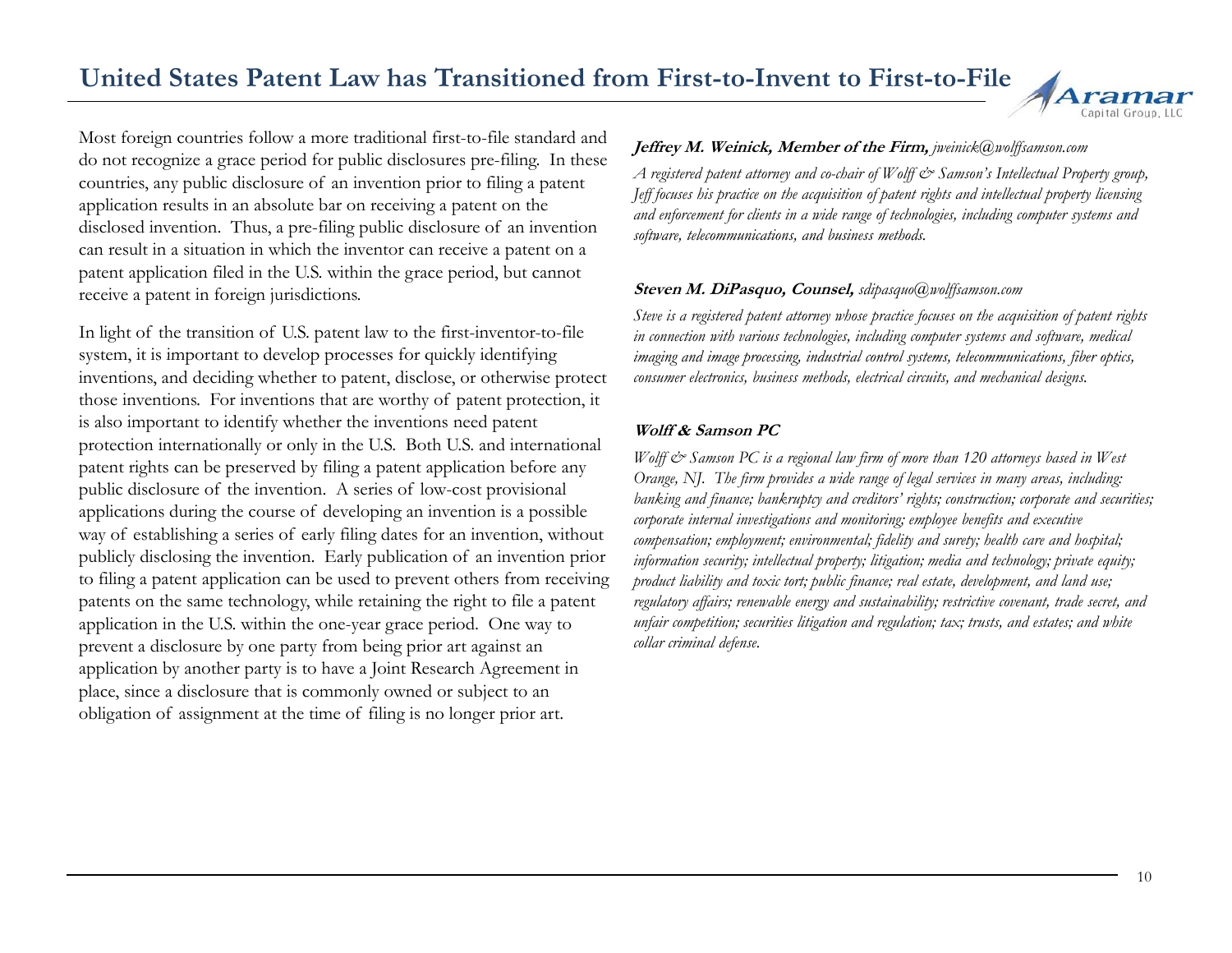# **United States Patent Law has Transitioned from First-to-Invent to First-to-File**



Most foreign countries follow a more traditional first-to-file standard and do not recognize a grace period for public disclosures pre-filing. In these countries, any public disclosure of an invention prior to filing a patent application results in an absolute bar on receiving a patent on the disclosed invention. Thus, a pre-filing public disclosure of an invention can result in a situation in which the inventor can receive a patent on a patent application filed in the U.S. within the grace period, but cannot receive a patent in foreign jurisdictions.

In light of the transition of U.S. patent law to the first-inventor-to-file system, it is important to develop processes for quickly identifying system, it is important to develop processes for quickly identifying *imaging and image processing, industrial control systems, telecommunications, fiber optics,* inventions, and deciding whether to patent, disclose, or otherwise protect those inventions. For inventions that are worthy of patent protection, it is also important to identify whether the inventions need patent protection internationally or only in the U.S. Both U.S. and international patent ri ghts can be preserved b y filin g a patent application before an y public disclosure of the invention. A series of low-cost provisional applications during the course of developing an invention is a possible way of establishing a series of early filing dates for an invention, without publicly disclosing the invention. Early publication of an invention prior to filing a patent application can be used to prevent others from receiving patents on the same technology, while retaining the right to file a patent application in the U.S. within the one-year grace period. One way to prevent a disclosure by one party from being prior art against an application by another party is to have a Joint Research Agreement in place, since a disclosure that is commonly owned or subject to an obligation of assignment at the time of filing is no longer prior art.

### **Jeffrey M. Weinick, Member of the Firm,** *jweinick@wolffsamson.com*

*A registered patent attorney and co-chair of Wolff & Samson's Intellectual Property group, Jeff focuses his practice on the acquisition of patent rights and intellectual property licensing and enforcement for clients in a wide range of technologies, including computer systems and*   $s$ *oftware, telecommunications, and business methods.* 

#### **Steven M. DiPasquo, Counsel,** *sdipasquo@wolffsamson.com*

*Steve is a registered patent attorney whose practice focuses on the acquisition of patent rights in connection with various technologies, including computer systems and software, medical consumer electronics, business methods, electrical circuits, and mechanical designs.*

#### **Wolff & Samson PC**

*Wolff & Samson PC is a regional law firm of more than 120 attorneys based in West Orange, NJ. The firm provides a wide range of legal services in many areas, including: banking and finance; bankruptcy and creditors' rights; construction; corporate and securities; corporate internal investigations and monitoring; employee benefits and executive compensation; employment; environmental; fidelity and surety; health care and hospital; information security; intellectual property; litigation; media and technology; private equity; product liability and toxic tort; public finance; real estate, development, and land use; regulatory affairs; renewable energy and sustainability; restrictive covenant, trade secret, and unfair competition; securities litigation and regulation; tax; trusts, and estates; and white collar criminal defense.*